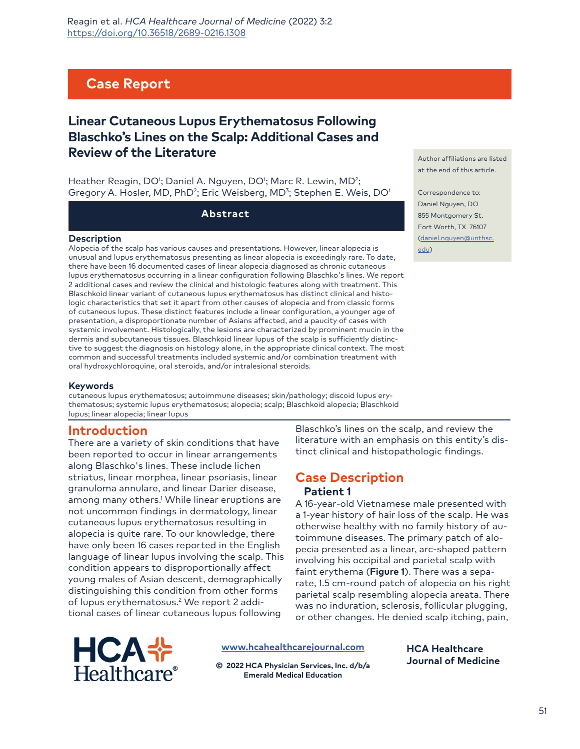# **Case Report**

# **Linear Cutaneous Lupus Erythematosus Following Blaschko's Lines on the Scalp: Additional Cases and Review of the Literature**

Heather Reagin, DO<sup>1</sup>; Daniel A. Nguyen, DO<sup>1</sup>; Marc R. Lewin, MD<sup>2</sup>; Gregory A. Hosler, MD, PhD<sup>2</sup>; Eric Weisberg, MD<sup>3</sup>; Stephen E. Weis, DO<sup>1</sup>

**Abstract**

#### **Description**

Alopecia of the scalp has various causes and presentations. However, linear alopecia is unusual and lupus erythematosus presenting as linear alopecia is exceedingly rare. To date, there have been 16 documented cases of linear alopecia diagnosed as chronic cutaneous lupus erythematosus occurring in a linear configuration following Blaschko's lines. We report 2 additional cases and review the clinical and histologic features along with treatment. This Blaschkoid linear variant of cutaneous lupus erythematosus has distinct clinical and histologic characteristics that set it apart from other causes of alopecia and from classic forms of cutaneous lupus. These distinct features include a linear configuration, a younger age of presentation, a disproportionate number of Asians affected, and a paucity of cases with systemic involvement. Histologically, the lesions are characterized by prominent mucin in the dermis and subcutaneous tissues. Blaschkoid linear lupus of the scalp is sufficiently distinctive to suggest the diagnosis on histology alone, in the appropriate clinical context. The most common and successful treatments included systemic and/or combination treatment with oral hydroxychloroquine, oral steroids, and/or intralesional steroids.

#### **Keywords**

cutaneous lupus erythematosus; autoimmune diseases; skin/pathology; discoid lupus erythematosus; systemic lupus erythematosus; alopecia; scalp; Blaschkoid alopecia; Blaschkoid lupus; linear alopecia; linear lupus

## **Introduction**

There are a variety of skin conditions that have been reported to occur in linear arrangements along Blaschko's lines. These include lichen striatus, linear morphea, linear psoriasis, linear granuloma annulare, and linear Darier disease, among many others.<sup>1</sup> While linear eruptions are not uncommon findings in dermatology, linear cutaneous lupus erythematosus resulting in alopecia is quite rare. To our knowledge, there have only been 16 cases reported in the English language of linear lupus involving the scalp. This condition appears to disproportionally affect young males of Asian descent, demographically distinguishing this condition from other forms of lupus erythematosus.2 We report 2 additional cases of linear cutaneous lupus following

Blaschko's lines on the scalp, and review the literature with an emphasis on this entity's distinct clinical and histopathologic findings.

## **Case Description Patient 1**

A 16-year-old Vietnamese male presented with a 1-year history of hair loss of the scalp. He was otherwise healthy with no family history of autoimmune diseases. The primary patch of alopecia presented as a linear, arc-shaped pattern involving his occipital and parietal scalp with faint erythema (**Figure 1**). There was a separate, 1.5 cm-round patch of alopecia on his right parietal scalp resembling alopecia areata. There was no induration, sclerosis, follicular plugging, or other changes. He denied scalp itching, pain,

> **HCA Healthcare Journal of Medicine**



**[www.hcahealthcarejournal.com](http://www.hcahealthcarejournal.com)**

**© 2022 HCA Physician Services, Inc. d/b/a Emerald Medical Education**

Author affiliations are listed at the end of this article.

Correspondence to: Daniel Nguyen, DO 855 Montgomery St. [Fort Worth, TX 76107](mailto:daniel.nguyen%40unthsc.edu?subject=) [\(dan](mailto:daniel.nguyen%40unthsc.edu?subject=)iel.nguyen@unthsc. edu)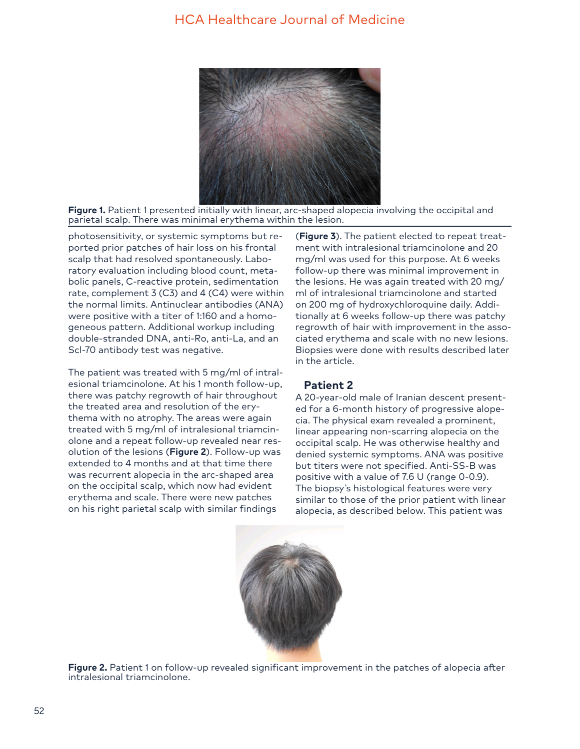

**Figure 1.** Patient 1 presented initially with linear, arc-shaped alopecia involving the occipital and parietal scalp. There was minimal erythema within the lesion.

photosensitivity, or systemic symptoms but reported prior patches of hair loss on his frontal scalp that had resolved spontaneously. Laboratory evaluation including blood count, metabolic panels, C-reactive protein, sedimentation rate, complement 3 (C3) and 4 (C4) were within the normal limits. Antinuclear antibodies (ANA) were positive with a titer of 1:160 and a homogeneous pattern. Additional workup including double-stranded DNA, anti-Ro, anti-La, and an Scl-70 antibody test was negative.

The patient was treated with 5 mg/ml of intralesional triamcinolone. At his 1 month follow-up, there was patchy regrowth of hair throughout the treated area and resolution of the erythema with no atrophy. The areas were again treated with 5 mg/ml of intralesional triamcinolone and a repeat follow-up revealed near resolution of the lesions (**Figure 2**). Follow-up was extended to 4 months and at that time there was recurrent alopecia in the arc-shaped area on the occipital scalp, which now had evident erythema and scale. There were new patches on his right parietal scalp with similar findings

(**Figure 3**). The patient elected to repeat treatment with intralesional triamcinolone and 20 mg/ml was used for this purpose. At 6 weeks follow-up there was minimal improvement in the lesions. He was again treated with 20 mg/ ml of intralesional triamcinolone and started on 200 mg of hydroxychloroquine daily. Additionally at 6 weeks follow-up there was patchy regrowth of hair with improvement in the associated erythema and scale with no new lesions. Biopsies were done with results described later in the article.

#### **Patient 2**

A 20-year-old male of Iranian descent presented for a 6-month history of progressive alopecia. The physical exam revealed a prominent, linear appearing non-scarring alopecia on the occipital scalp. He was otherwise healthy and denied systemic symptoms. ANA was positive but titers were not specified. Anti-SS-B was positive with a value of 7.6 U (range 0-0.9). The biopsy's histological features were very similar to those of the prior patient with linear alopecia, as described below. This patient was



**Figure 2.** Patient 1 on follow-up revealed significant improvement in the patches of alopecia after intralesional triamcinolone.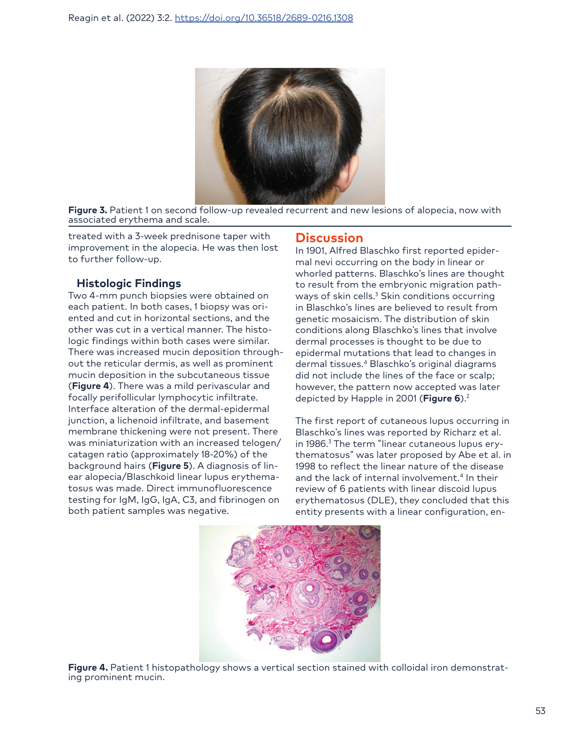

Figure 3. Patient 1 on second follow-up revealed recurrent and new lesions of alopecia, now with associated erythema and scale.

treated with a 3-week prednisone taper with improvement in the alopecia. He was then lost to further follow-up.

## **Histologic Findings**

Two 4-mm punch biopsies were obtained on each patient. In both cases, 1 biopsy was oriented and cut in horizontal sections, and the other was cut in a vertical manner. The histologic findings within both cases were similar. There was increased mucin deposition throughout the reticular dermis, as well as prominent mucin deposition in the subcutaneous tissue (**Figure 4**). There was a mild perivascular and focally perifollicular lymphocytic infiltrate. Interface alteration of the dermal-epidermal junction, a lichenoid infiltrate, and basement membrane thickening were not present. There was miniaturization with an increased telogen/ catagen ratio (approximately 18-20%) of the background hairs (**Figure 5**). A diagnosis of linear alopecia/Blaschkoid linear lupus erythematosus was made. Direct immunofluorescence testing for IgM, IgG, IgA, C3, and fibrinogen on both patient samples was negative.

## **Discussion**

In 1901, Alfred Blaschko first reported epidermal nevi occurring on the body in linear or whorled patterns. Blaschko's lines are thought to result from the embryonic migration pathways of skin cells.<sup>3</sup> Skin conditions occurring in Blaschko's lines are believed to result from genetic mosaicism. The distribution of skin conditions along Blaschko's lines that involve dermal processes is thought to be due to epidermal mutations that lead to changes in dermal tissues.4 Blaschko's original diagrams did not include the lines of the face or scalp; however, the pattern now accepted was later depicted by Happle in 2001 (**Figure 6**).2

The first report of cutaneous lupus occurring in Blaschko's lines was reported by Richarz et al. in 1986.3 The term "linear cutaneous lupus erythematosus" was later proposed by Abe et al. in 1998 to reflect the linear nature of the disease and the lack of internal involvement.<sup>4</sup> In their review of 6 patients with linear discoid lupus erythematosus (DLE), they concluded that this entity presents with a linear configuration, en-



**Figure 4.** Patient 1 histopathology shows a vertical section stained with colloidal iron demonstrat-<br>ing prominent mucin.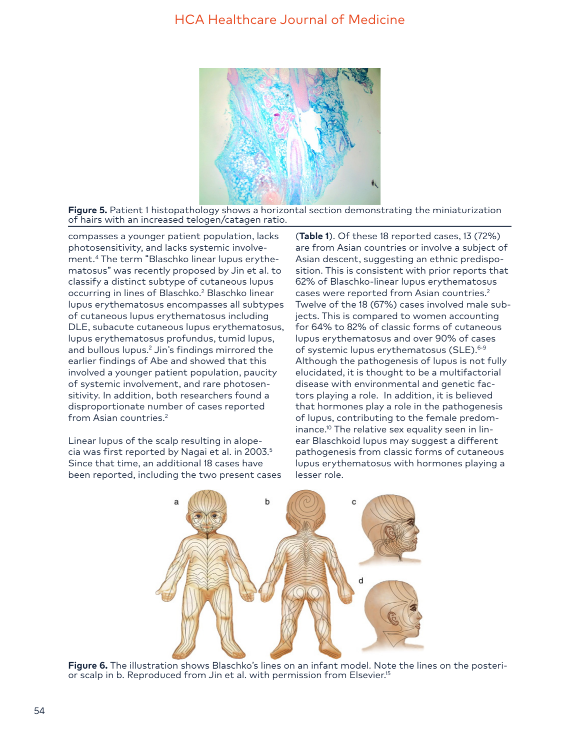

**Figure 5.** Patient 1 histopathology shows a horizontal section demonstrating the miniaturization of hairs with an increased telogen/catagen ratio.

compasses a younger patient population, lacks photosensitivity, and lacks systemic involvement.4 The term "Blaschko linear lupus erythematosus" was recently proposed by Jin et al. to classify a distinct subtype of cutaneous lupus occurring in lines of Blaschko.<sup>2</sup> Blaschko linear lupus erythematosus encompasses all subtypes of cutaneous lupus erythematosus including DLE, subacute cutaneous lupus erythematosus, lupus erythematosus profundus, tumid lupus, and bullous lupus.<sup>2</sup> Jin's findings mirrored the earlier findings of Abe and showed that this involved a younger patient population, paucity of systemic involvement, and rare photosensitivity. In addition, both researchers found a disproportionate number of cases reported from Asian countries.<sup>2</sup>

Linear lupus of the scalp resulting in alopecia was first reported by Nagai et al. in 2003.5 Since that time, an additional 18 cases have been reported, including the two present cases

(**Table 1**). Of these 18 reported cases, 13 (72%) are from Asian countries or involve a subject of Asian descent, suggesting an ethnic predisposition. This is consistent with prior reports that 62% of Blaschko-linear lupus erythematosus cases were reported from Asian countries.<sup>2</sup> Twelve of the 18 (67%) cases involved male subjects. This is compared to women accounting for 64% to 82% of classic forms of cutaneous lupus erythematosus and over 90% of cases of systemic lupus erythematosus (SLE).<sup>6-9</sup> Although the pathogenesis of lupus is not fully elucidated, it is thought to be a multifactorial disease with environmental and genetic factors playing a role. In addition, it is believed that hormones play a role in the pathogenesis of lupus, contributing to the female predominance.<sup>10</sup> The relative sex equality seen in linear Blaschkoid lupus may suggest a different pathogenesis from classic forms of cutaneous lupus erythematosus with hormones playing a lesser role.



**Figure 6.** The illustration shows Blaschko's lines on an infant model. Note the lines on the posterior scalp in b. Reproduced from Jin et al. with permission from Elsevier.<sup>15</sup>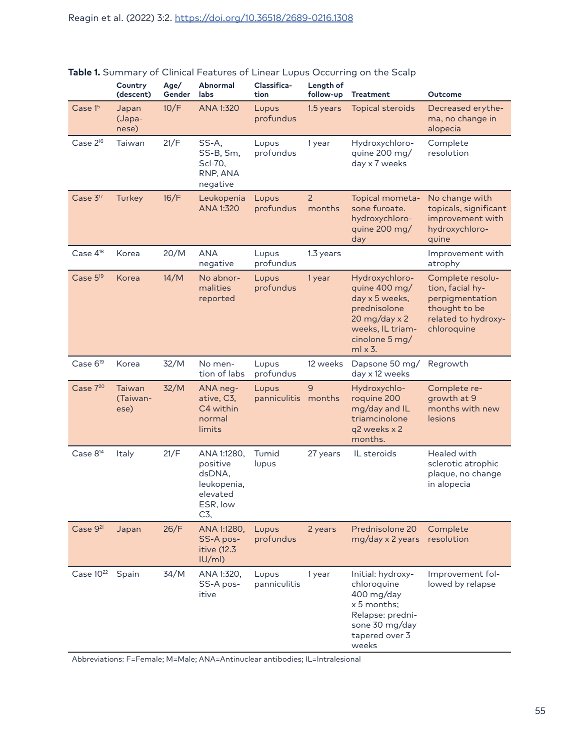|                       | Country<br>(descent)       | Age/<br>Gender | Abnormal<br>labs                                                                | Classifica-<br>tion   | Length of<br>follow-up   | <b>Treatment</b>                                                                                                                                           | Outcome                                                                                                        |  |
|-----------------------|----------------------------|----------------|---------------------------------------------------------------------------------|-----------------------|--------------------------|------------------------------------------------------------------------------------------------------------------------------------------------------------|----------------------------------------------------------------------------------------------------------------|--|
| Case 1 <sup>5</sup>   | Japan<br>(Japa-<br>nese)   | 10/F           | ANA 1:320                                                                       | Lupus<br>profundus    | 1.5 years                | <b>Topical steroids</b>                                                                                                                                    | Decreased erythe-<br>ma, no change in<br>alopecia                                                              |  |
| Case $2^{16}$         | Taiwan                     | 21/F           | SS-A,<br>SS-B, Sm,<br>Scl-70,<br>RNP, ANA<br>negative                           | Lupus<br>profundus    | 1 year                   | Hydroxychloro-<br>quine 200 mg/<br>day x 7 weeks                                                                                                           | Complete<br>resolution                                                                                         |  |
| Case 3 <sup>17</sup>  | Turkey                     | 16/F           | Leukopenia<br>ANA 1:320                                                         | Lupus<br>profundus    | $\overline{2}$<br>months | Topical mometa-<br>sone furoate.<br>hydroxychloro-<br>quine 200 mg/<br>day                                                                                 | No change with<br>topicals, significant<br>improvement with<br>hydroxychloro-<br>quine                         |  |
| Case 4 <sup>18</sup>  | Korea                      | 20/M           | <b>ANA</b><br>negative                                                          | Lupus<br>profundus    | 1.3 years                |                                                                                                                                                            | Improvement with<br>atrophy                                                                                    |  |
| Case $5^{19}$         | Korea                      | 14/M           | No abnor-<br>malities<br>reported                                               | Lupus<br>profundus    | 1 year                   | Hydroxychloro-<br>quine 400 mg/<br>day x 5 weeks,<br>prednisolone<br>$20 \text{ mg/day} \times 2$<br>weeks, IL triam-<br>cinolone 5 mg/<br>$ml \times 3$ . | Complete resolu-<br>tion, facial hy-<br>perpigmentation<br>thought to be<br>related to hydroxy-<br>chloroquine |  |
| Case 6 <sup>19</sup>  | Korea                      | 32/M           | No men-<br>tion of labs                                                         | Lupus<br>profundus    | 12 weeks                 | Dapsone 50 mg/<br>day x 12 weeks                                                                                                                           | Regrowth                                                                                                       |  |
| Case $7^{20}$         | Taiwan<br>(Taiwan-<br>ese) | 32/M           | ANA neg-<br>ative, C3,<br>C4 within<br>normal<br>limits                         | Lupus<br>panniculitis | $\overline{9}$<br>months | Hydroxychlo-<br>roquine 200<br>mg/day and IL<br>triamcinolone<br>q2 weeks x 2<br>months.                                                                   | Complete re-<br>growth at 9<br>months with new<br>lesions                                                      |  |
| Case 8 <sup>14</sup>  | <b>Italy</b>               | 21/F           | ANA 1:1280,<br>positive<br>dsDNA,<br>leukopenia,<br>elevated<br>ESR, low<br>C3, | Tumid<br>lupus        | 27 years                 | IL steroids                                                                                                                                                | Healed with<br>sclerotic atrophic<br>plaque, no change<br>in alopecia                                          |  |
| Case 9 <sup>21</sup>  | Japan                      | 26/F           | ANA 1:1280,<br>SS-A pos-<br>itive (12.3)<br> U/m                                | Lupus<br>profundus    | 2 years                  | Prednisolone 20<br>mg/day x 2 years                                                                                                                        | Complete<br>resolution                                                                                         |  |
| Case 10 <sup>22</sup> | Spain                      | 34/M           | ANA 1:320,<br>SS-A pos-<br>itive                                                | Lupus<br>panniculitis | 1 year                   | Initial: hydroxy-<br>chloroquine<br>400 mg/day<br>$x 5$ months:<br>Relapse: predni-<br>sone 30 mg/day<br>tapered over 3<br>weeks                           | Improvement fol-<br>lowed by relapse                                                                           |  |

## **Table 1.** Summary of Clinical Features of Linear Lupus Occurring on the Scalp

Abbreviations: F=Female; M=Male; ANA=Antinuclear antibodies; IL=Intralesional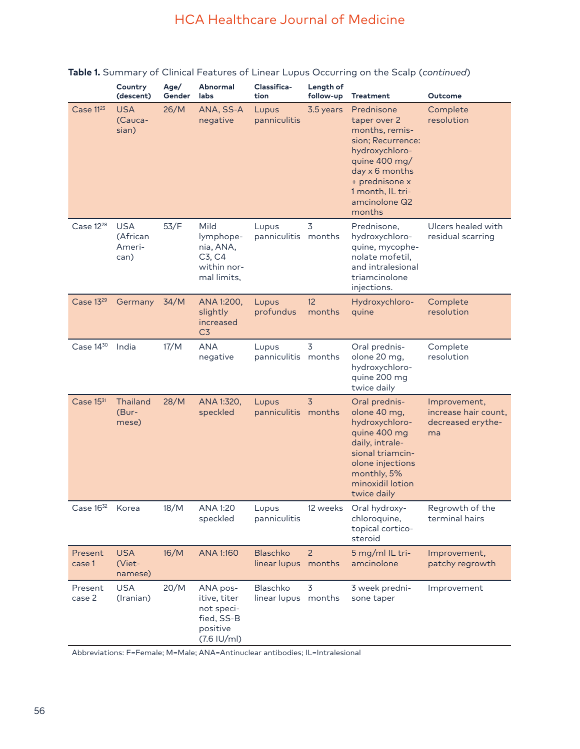|                       | Country<br>(descent)                     | Age/<br>Gender | Abnormal<br>labs                                                                  | Classifica-<br>tion             | Length of<br>follow-up   | <b>Treatment</b>                                                                                                                                                                        | Outcome                                                         |  |
|-----------------------|------------------------------------------|----------------|-----------------------------------------------------------------------------------|---------------------------------|--------------------------|-----------------------------------------------------------------------------------------------------------------------------------------------------------------------------------------|-----------------------------------------------------------------|--|
| Case 11 <sup>23</sup> | <b>USA</b><br>(Cauca-<br>sian)           | 26/M           | ANA, SS-A<br>negative                                                             | Lupus<br>panniculitis           | 3.5 years                | Prednisone<br>taper over 2<br>months, remis-<br>sion; Recurrence:<br>hydroxychloro-<br>quine 400 mg/<br>day x 6 months<br>+ prednisone x<br>1 month, IL tri-<br>amcinolone Q2<br>months | Complete<br>resolution                                          |  |
| Case 12 <sup>28</sup> | <b>USA</b><br>(African<br>Ameri-<br>can) | 53/F           | Mild<br>lymphope-<br>nia, ANA,<br>C3, C4<br>within nor-<br>mal limits,            | Lupus<br>panniculitis months    | 3                        | Prednisone,<br>hydroxychloro-<br>quine, mycophe-<br>nolate mofetil,<br>and intralesional<br>triamcinolone<br>injections.                                                                | Ulcers healed with<br>residual scarring                         |  |
| Case 1329             | Germany                                  | 34/M           | ANA 1:200,<br>slightly<br>increased<br>C <sub>3</sub>                             | Lupus<br>profundus              | 12<br>months             | Hydroxychloro-<br>quine                                                                                                                                                                 | Complete<br>resolution                                          |  |
| Case 1430             | India                                    | 17/M           | <b>ANA</b><br>negative                                                            | Lupus<br>panniculitis months    | $\overline{3}$           | Oral prednis-<br>olone 20 mg,<br>hydroxychloro-<br>quine 200 mg<br>twice daily                                                                                                          | Complete<br>resolution                                          |  |
| Case $15^{31}$        | <b>Thailand</b><br>(Bur-<br>mese)        | 28/M           | ANA 1:320,<br>speckled                                                            | Lupus<br>panniculitis months    | $\overline{3}$           | Oral prednis-<br>olone 40 mg,<br>hydroxychloro-<br>quine 400 mg<br>daily, intrale-<br>sional triamcin-<br>olone injections<br>monthly, 5%<br>minoxidil lotion<br>twice daily            | Improvement,<br>increase hair count,<br>decreased erythe-<br>ma |  |
| Case $16^{32}$        | Korea                                    | 18/M           | ANA 1:20<br>speckled                                                              | Lupus<br>panniculitis           | 12 weeks                 | Oral hydroxy-<br>chloroquine,<br>topical cortico-<br>steroid                                                                                                                            | Regrowth of the<br>terminal hairs                               |  |
| Present<br>case 1     | <b>USA</b><br>(Viet-<br>namese)          | 16/M           | ANA 1:160                                                                         | <b>Blaschko</b><br>linear lupus | $\overline{2}$<br>months | 5 mg/ml IL tri-<br>amcinolone                                                                                                                                                           | Improvement,<br>patchy regrowth                                 |  |
| Present<br>case 2     | <b>USA</b><br>(Iranian)                  | 20/M           | ANA pos-<br>itive, titer<br>not speci-<br>fied, SS-B<br>positive<br>$(7.6$ IU/ml) | Blaschko<br>linear lupus months | 3                        | 3 week predni-<br>sone taper                                                                                                                                                            | Improvement                                                     |  |

## **Table 1.** Summary of Clinical Features of Linear Lupus Occurring on the Scalp (*continued*)

Abbreviations: F=Female; M=Male; ANA=Antinuclear antibodies; IL=Intralesional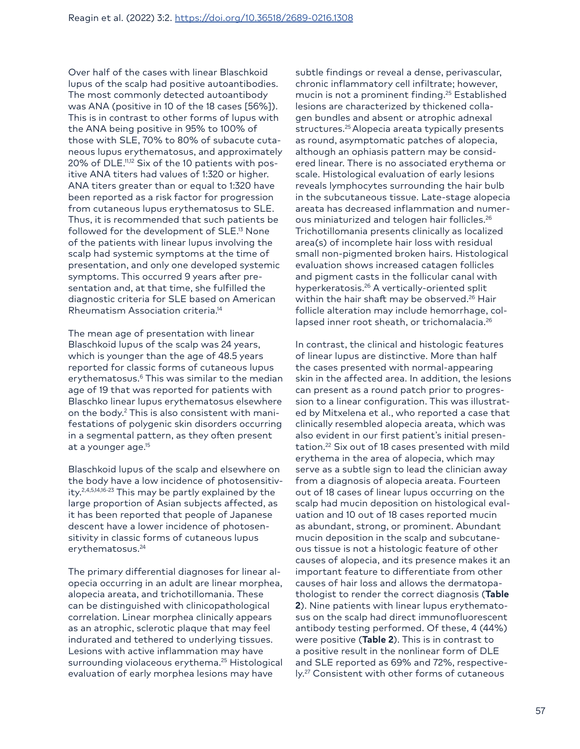Over half of the cases with linear Blaschkoid lupus of the scalp had positive autoantibodies. The most commonly detected autoantibody was ANA (positive in 10 of the 18 cases [56%]). This is in contrast to other forms of lupus with the ANA being positive in 95% to 100% of those with SLE, 70% to 80% of subacute cutaneous lupus erythematosus, and approximately 20% of DLE.11,12 Six of the 10 patients with positive ANA titers had values of 1:320 or higher. ANA titers greater than or equal to 1:320 have been reported as a risk factor for progression from cutaneous lupus erythematosus to SLE. Thus, it is recommended that such patients be followed for the development of SLE.<sup>13</sup> None of the patients with linear lupus involving the scalp had systemic symptoms at the time of presentation, and only one developed systemic symptoms. This occurred 9 years after presentation and, at that time, she fulfilled the diagnostic criteria for SLE based on American Rheumatism Association criteria.14

The mean age of presentation with linear Blaschkoid lupus of the scalp was 24 years, which is younger than the age of 48.5 years reported for classic forms of cutaneous lupus erythematosus.<sup>6</sup> This was similar to the median age of 19 that was reported for patients with Blaschko linear lupus erythematosus elsewhere on the body.2 This is also consistent with manifestations of polygenic skin disorders occurring in a segmental pattern, as they often present at a younger age.15

Blaschkoid lupus of the scalp and elsewhere on the body have a low incidence of photosensitivity.2,4,5,14,16-23 This may be partly explained by the large proportion of Asian subjects affected, as it has been reported that people of Japanese descent have a lower incidence of photosensitivity in classic forms of cutaneous lupus erythematosus.<sup>24</sup>

The primary differential diagnoses for linear alopecia occurring in an adult are linear morphea, alopecia areata, and trichotillomania. These can be distinguished with clinicopathological correlation. Linear morphea clinically appears as an atrophic, sclerotic plaque that may feel indurated and tethered to underlying tissues. Lesions with active inflammation may have surrounding violaceous erythema.<sup>25</sup> Histological evaluation of early morphea lesions may have

subtle findings or reveal a dense, perivascular, chronic inflammatory cell infiltrate; however, mucin is not a prominent finding.<sup>25</sup> Established lesions are characterized by thickened collagen bundles and absent or atrophic adnexal structures.<sup>25</sup> Alopecia areata typically presents as round, asymptomatic patches of alopecia, although an ophiasis pattern may be considered linear. There is no associated erythema or scale. Histological evaluation of early lesions reveals lymphocytes surrounding the hair bulb in the subcutaneous tissue. Late-stage alopecia areata has decreased inflammation and numerous miniaturized and telogen hair follicles.26 Trichotillomania presents clinically as localized area(s) of incomplete hair loss with residual small non-pigmented broken hairs. Histological evaluation shows increased catagen follicles and pigment casts in the follicular canal with hyperkeratosis.26 A vertically-oriented split within the hair shaft may be observed.<sup>26</sup> Hair follicle alteration may include hemorrhage, collapsed inner root sheath, or trichomalacia.<sup>26</sup>

In contrast, the clinical and histologic features of linear lupus are distinctive. More than half the cases presented with normal-appearing skin in the affected area. In addition, the lesions can present as a round patch prior to progression to a linear configuration. This was illustrated by Mitxelena et al., who reported a case that clinically resembled alopecia areata, which was also evident in our first patient's initial presentation.<sup>22</sup> Six out of 18 cases presented with mild erythema in the area of alopecia, which may serve as a subtle sign to lead the clinician away from a diagnosis of alopecia areata. Fourteen out of 18 cases of linear lupus occurring on the scalp had mucin deposition on histological evaluation and 10 out of 18 cases reported mucin as abundant, strong, or prominent. Abundant mucin deposition in the scalp and subcutaneous tissue is not a histologic feature of other causes of alopecia, and its presence makes it an important feature to differentiate from other causes of hair loss and allows the dermatopathologist to render the correct diagnosis (**Table 2**). Nine patients with linear lupus erythematosus on the scalp had direct immunofluorescent antibody testing performed. Of these, 4 (44%) were positive (**Table 2**). This is in contrast to a positive result in the nonlinear form of DLE and SLE reported as 69% and 72%, respectively.27 Consistent with other forms of cutaneous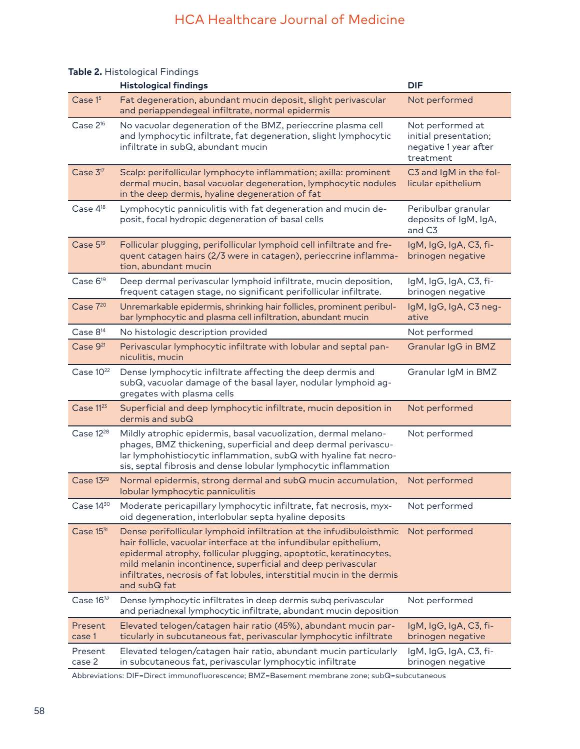#### **Histological findings DIF** Case 1<sup>5</sup> Fat degeneration, abundant mucin deposit, slight perivascular and periappendegeal infiltrate, normal epidermis Not performed Case 2<sup>16</sup> No vacuolar degeneration of the BMZ, perieccrine plasma cell and lymphocytic infiltrate, fat degeneration, slight lymphocytic infiltrate in subQ, abundant mucin Not performed at initial presentation; negative 1 year after treatment Case 3<sup>17</sup> Scalp: perifollicular lymphocyte inflammation; axilla: prominent dermal mucin, basal vacuolar degeneration, lymphocytic nodules in the deep dermis, hyaline degeneration of fat C3 and IgM in the follicular epithelium Case  $4^{18}$  Lymphocytic panniculitis with fat degeneration and mucin deposit, focal hydropic degeneration of basal cells Peribulbar granular deposits of IgM, IgA, and C3 Case 519 Follicular plugging, perifollicular lymphoid cell infiltrate and frequent catagen hairs (2/3 were in catagen), perieccrine inflammation, abundant mucin IgM, IgG, IgA, C3, fibrinogen negative Case 6<sup>19</sup> Deep dermal perivascular lymphoid infiltrate, mucin deposition, frequent catagen stage, no significant perifollicular infiltrate. IgM, IgG, IgA, C3, fibrinogen negative Case 7<sup>20</sup> Unremarkable epidermis, shrinking hair follicles, prominent peribulbar lymphocytic and plasma cell infiltration, abundant mucin IgM, IgG, IgA, C3 negative Case 8<sup>14</sup> No histologic description provided Not performed Not performed Case 9<sup>21</sup> Perivascular lymphocytic infiltrate with lobular and septal panniculitis, mucin Granular IgG in BMZ Case 10<sup>22</sup> Dense lymphocytic infiltrate affecting the deep dermis and subQ, vacuolar damage of the basal layer, nodular lymphoid aggregates with plasma cells Granular IgM in BMZ Case 11<sup>23</sup> Superficial and deep lymphocytic infiltrate, mucin deposition in dermis and subQ Not performed Case 1228 Mildly atrophic epidermis, basal vacuolization, dermal melanophages, BMZ thickening, superficial and deep dermal perivascular lymphohistiocytic inflammation, subQ with hyaline fat necrosis, septal fibrosis and dense lobular lymphocytic inflammation Not performed Case 1329 Normal epidermis, strong dermal and subQ mucin accumulation, lobular lymphocytic panniculitis Not performed Case 14<sup>30</sup> Moderate pericapillary lymphocytic infiltrate, fat necrosis, myxoid degeneration, interlobular septa hyaline deposits Not performed Case 15<sup>31</sup> Dense perifollicular lymphoid infiltration at the infudibuloisthmic Not performed hair follicle, vacuolar interface at the infundibular epithelium, epidermal atrophy, follicular plugging, apoptotic, keratinocytes, mild melanin incontinence, superficial and deep perivascular infiltrates, necrosis of fat lobules, interstitial mucin in the dermis and subQ fat Case 1632 Dense lymphocytic infiltrates in deep dermis subq perivascular and periadnexal lymphocytic infiltrate, abundant mucin deposition Not performed Present case 1 Elevated telogen/catagen hair ratio (45%), abundant mucin particularly in subcutaneous fat, perivascular lymphocytic infiltrate IgM, IgG, IgA, C3, fibrinogen negative Present case 2 Elevated telogen/catagen hair ratio, abundant mucin particularly in subcutaneous fat, perivascular lymphocytic infiltrate IgM, IgG, IgA, C3, fibrinogen negative

#### **Table 2.** Histological Findings

Abbreviations: DIF=Direct immunofluorescence; BMZ=Basement membrane zone; subQ=subcutaneous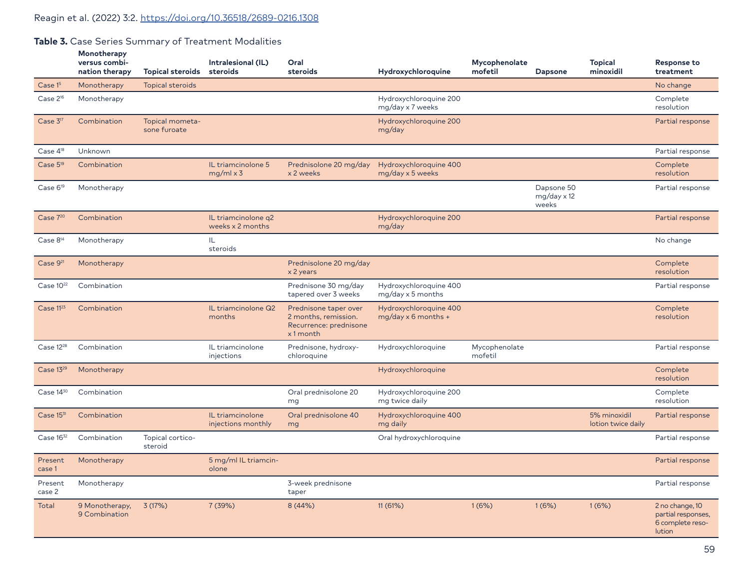## **Table 3.** Case Series Summary of Treatment Modalities

|                       | Monotherapy<br>versus combi-<br>nation therapy | <b>Topical steroids</b>         | Intralesional (IL)<br>steroids          | Oral<br>steroids                                                                    | Hydroxychloroquine                                   | Mycophenolate<br>mofetil | <b>Dapsone</b>                            | <b>Topical</b><br>minoxidil        | <b>Response to</b><br>treatment                                     |
|-----------------------|------------------------------------------------|---------------------------------|-----------------------------------------|-------------------------------------------------------------------------------------|------------------------------------------------------|--------------------------|-------------------------------------------|------------------------------------|---------------------------------------------------------------------|
| Case 15               | Monotherapy                                    | Topical steroids                |                                         |                                                                                     |                                                      |                          |                                           |                                    | No change                                                           |
| Case $2^{16}$         | Monotherapy                                    |                                 |                                         |                                                                                     | Hydroxychloroquine 200<br>mg/day x 7 weeks           |                          |                                           |                                    | Complete<br>resolution                                              |
| Case 3 <sup>17</sup>  | Combination                                    | Topical mometa-<br>sone furoate |                                         |                                                                                     | Hydroxychloroquine 200<br>mg/day                     |                          |                                           |                                    | Partial response                                                    |
| Case 4 <sup>18</sup>  | Unknown                                        |                                 |                                         |                                                                                     |                                                      |                          |                                           |                                    | Partial response                                                    |
| Case 5 <sup>19</sup>  | Combination                                    |                                 | IL triamcinolone 5<br>$mg/ml \times 3$  | Prednisolone 20 mg/day<br>x 2 weeks                                                 | Hydroxychloroquine 400<br>mg/day x 5 weeks           |                          |                                           |                                    | Complete<br>resolution                                              |
| Case 6 <sup>19</sup>  | Monotherapy                                    |                                 |                                         |                                                                                     |                                                      |                          | Dapsone 50<br>$mg/day \times 12$<br>weeks |                                    | Partial response                                                    |
| Case 720              | Combination                                    |                                 | IL triamcinolone q2<br>weeks x 2 months |                                                                                     | Hydroxychloroquine 200<br>mg/day                     |                          |                                           |                                    | Partial response                                                    |
| Case $8^{14}$         | Monotherapy                                    |                                 | IL<br>steroids                          |                                                                                     |                                                      |                          |                                           |                                    | No change                                                           |
| Case 9 <sup>21</sup>  | Monotherapy                                    |                                 |                                         | Prednisolone 20 mg/day<br>x 2 years                                                 |                                                      |                          |                                           |                                    | Complete<br>resolution                                              |
| Case $10^{22}$        | Combination                                    |                                 |                                         | Prednisone 30 mg/day<br>tapered over 3 weeks                                        | Hydroxychloroquine 400<br>mg/day x 5 months          |                          |                                           |                                    | Partial response                                                    |
| Case 11 <sup>23</sup> | Combination                                    |                                 | IL triamcinolone Q2<br>months           | Prednisone taper over<br>2 months, remission.<br>Recurrence: prednisone<br>x1 month | Hydroxychloroquine 400<br>$mg/day \times 6$ months + |                          |                                           |                                    | Complete<br>resolution                                              |
| Case 12 <sup>28</sup> | Combination                                    |                                 | IL triamcinolone<br>injections          | Prednisone, hydroxy-<br>chloroquine                                                 | Hydroxychloroquine                                   | Mycophenolate<br>mofetil |                                           |                                    | Partial response                                                    |
| Case 1329             | Monotherapy                                    |                                 |                                         |                                                                                     | Hydroxychloroquine                                   |                          |                                           |                                    | Complete<br>resolution                                              |
| Case $14^{30}$        | Combination                                    |                                 |                                         | Oral prednisolone 20<br>mg                                                          | Hydroxychloroquine 200<br>mg twice daily             |                          |                                           |                                    | Complete<br>resolution                                              |
| Case 1531             | Combination                                    |                                 | IL triamcinolone<br>injections monthly  | Oral prednisolone 40<br>mg                                                          | Hydroxychloroquine 400<br>mg daily                   |                          |                                           | 5% minoxidil<br>lotion twice daily | Partial response                                                    |
| Case $16^{32}$        | Combination                                    | Topical cortico-<br>steroid     |                                         |                                                                                     | Oral hydroxychloroquine                              |                          |                                           |                                    | Partial response                                                    |
| Present<br>case 1     | Monotherapy                                    |                                 | 5 mg/ml IL triamcin-<br>olone           |                                                                                     |                                                      |                          |                                           |                                    | Partial response                                                    |
| Present<br>case 2     | Monotherapy                                    |                                 |                                         | 3-week prednisone<br>taper                                                          |                                                      |                          |                                           |                                    | Partial response                                                    |
| Total                 | 9 Monotherapy,<br>9 Combination                | 3(17%)                          | 7 (39%)                                 | 8(44%)                                                                              | 11 (61%)                                             | 1(6%)                    | 1(6%)                                     | 1(6%)                              | 2 no change, 10<br>partial responses,<br>6 complete reso-<br>lution |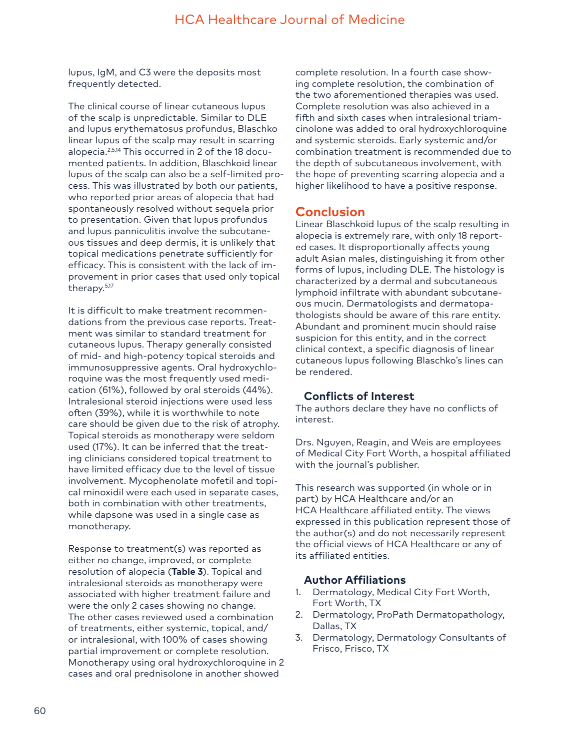lupus, IgM, and C3 were the deposits most frequently detected.

The clinical course of linear cutaneous lupus of the scalp is unpredictable. Similar to DLE and lupus erythematosus profundus, Blaschko linear lupus of the scalp may result in scarring alopecia.2,5,14 This occurred in 2 of the 18 documented patients. In addition, Blaschkoid linear lupus of the scalp can also be a self-limited process. This was illustrated by both our patients, who reported prior areas of alopecia that had spontaneously resolved without sequela prior to presentation. Given that lupus profundus and lupus panniculitis involve the subcutaneous tissues and deep dermis, it is unlikely that topical medications penetrate sufficiently for efficacy. This is consistent with the lack of improvement in prior cases that used only topical therapy.5,17

It is difficult to make treatment recommendations from the previous case reports. Treatment was similar to standard treatment for cutaneous lupus. Therapy generally consisted of mid- and high-potency topical steroids and immunosuppressive agents. Oral hydroxychloroquine was the most frequently used medication (61%), followed by oral steroids (44%). Intralesional steroid injections were used less often (39%), while it is worthwhile to note care should be given due to the risk of atrophy. Topical steroids as monotherapy were seldom used (17%). It can be inferred that the treating clinicians considered topical treatment to have limited efficacy due to the level of tissue involvement. Mycophenolate mofetil and topical minoxidil were each used in separate cases, both in combination with other treatments, while dapsone was used in a single case as monotherapy.

Response to treatment(s) was reported as either no change, improved, or complete resolution of alopecia (**Table 3**). Topical and intralesional steroids as monotherapy were associated with higher treatment failure and were the only 2 cases showing no change. The other cases reviewed used a combination of treatments, either systemic, topical, and/ or intralesional, with 100% of cases showing partial improvement or complete resolution. Monotherapy using oral hydroxychloroquine in 2 cases and oral prednisolone in another showed

complete resolution. In a fourth case showing complete resolution, the combination of the two aforementioned therapies was used. Complete resolution was also achieved in a fifth and sixth cases when intralesional triamcinolone was added to oral hydroxychloroquine and systemic steroids. Early systemic and/or combination treatment is recommended due to the depth of subcutaneous involvement, with the hope of preventing scarring alopecia and a higher likelihood to have a positive response.

# **Conclusion**

Linear Blaschkoid lupus of the scalp resulting in alopecia is extremely rare, with only 18 reported cases. It disproportionally affects young adult Asian males, distinguishing it from other forms of lupus, including DLE. The histology is characterized by a dermal and subcutaneous lymphoid infiltrate with abundant subcutaneous mucin. Dermatologists and dermatopathologists should be aware of this rare entity. Abundant and prominent mucin should raise suspicion for this entity, and in the correct clinical context, a specific diagnosis of linear cutaneous lupus following Blaschko's lines can be rendered.

### **Conflicts of Interest**

The authors declare they have no conflicts of interest.

Drs. Nguyen, Reagin, and Weis are employees of Medical City Fort Worth, a hospital affiliated with the journal's publisher.

This research was supported (in whole or in part) by HCA Healthcare and/or an HCA Healthcare affiliated entity. The views expressed in this publication represent those of the author(s) and do not necessarily represent the official views of HCA Healthcare or any of its affiliated entities.

#### **Author Affiliations**

- 1. Dermatology, Medical City Fort Worth, Fort Worth, TX
- 2. Dermatology, ProPath Dermatopathology, Dallas, TX
- 3. Dermatology, Dermatology Consultants of Frisco, Frisco, TX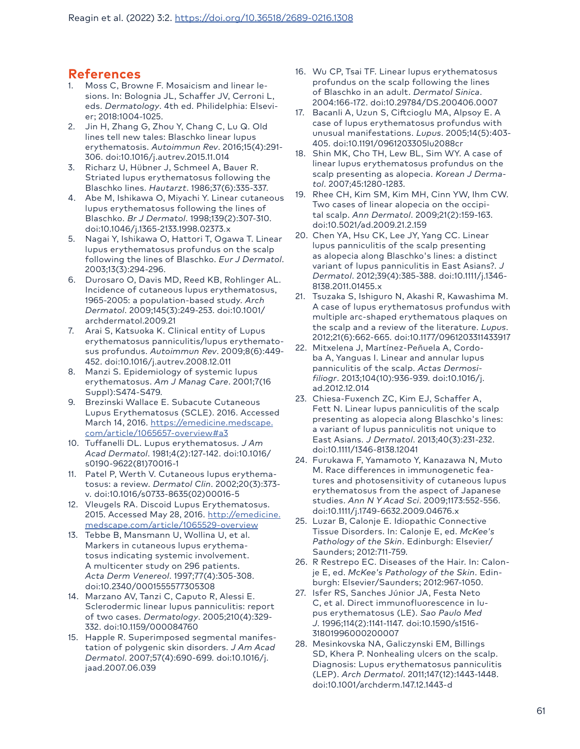# **References**

- 1. Moss C, Browne F. Mosaicism and linear lesions. In: Bolognia JL, Schaffer JV, Cerroni L, eds. *Dermatology*. 4th ed. Philidelphia: Elsevier; 2018:1004-1025.
- 2. Jin H, Zhang G, Zhou Y, Chang C, Lu Q. Old lines tell new tales: Blaschko linear lupus erythematosis. *Autoimmun Rev*. 2016;15(4):291- 306. doi:10.1016/j.autrev.2015.11.014
- 3. Richarz U, Hübner J, Schmeel A, Bauer R. Striated lupus erythematosus following the Blaschko lines. *Hautarzt*. 1986;37(6):335-337.
- 4. Abe M, Ishikawa O, Miyachi Y. Linear cutaneous lupus erythematosus following the lines of Blaschko. *Br J Dermatol*. 1998;139(2):307-310. doi:10.1046/j.1365-2133.1998.02373.x
- 5. Nagai Y, Ishikawa O, Hattori T, Ogawa T. Linear lupus erythematosus profundus on the scalp following the lines of Blaschko. *Eur J Dermatol*. 2003;13(3):294-296.
- 6. Durosaro O, Davis MD, Reed KB, Rohlinger AL. Incidence of cutaneous lupus erythematosus, 1965-2005: a population-based study. *Arch Dermatol*. 2009;145(3):249-253. doi:10.1001/ archdermatol.2009.21
- 7. Arai S, Katsuoka K. Clinical entity of Lupus erythematosus panniculitis/lupus erythematosus profundus. *Autoimmun Rev*. 2009;8(6):449- 452. doi:10.1016/j.autrev.2008.12.011
- 8. Manzi S. Epidemiology of systemic lupus erythematosus. *Am J Manag Care*. 2001;7(16 Suppl):S474-S479.
- 9. Brezinski Wallace E. Subacute Cutaneous Lupus Erythematosus (SCLE). 2016. Accessed March 14, 2016. [https://emedicine.medscape.](https://emedicine.medscape.com/article/1065657-overview#a3) [com/article/1065657-overview#a3](https://emedicine.medscape.com/article/1065657-overview#a3)
- 10. Tuffanelli DL. Lupus erythematosus. *J Am Acad Dermatol*. 1981;4(2):127-142. doi:10.1016/ s0190-9622(81)70016-1
- 11. Patel P, Werth V. Cutaneous lupus erythematosus: a review. *Dermatol Clin*. 2002;20(3):373 v. doi:10.1016/s0733-8635(02)00016-5
- 12. Vleugels RA. Discoid Lupus Erythematosus. 2015. Accessed May 28, 2016. [http://emedicine.](http://emedicine.medscape.com/article/1065529-overview) [medscape.com/article/1065529-overview](http://emedicine.medscape.com/article/1065529-overview)
- 13. Tebbe B, Mansmann U, Wollina U, et al. Markers in cutaneous lupus erythematosus indicating systemic involvement. A multicenter study on 296 patients. *Acta Derm Venereol*. 1997;77(4):305-308. doi:10.2340/0001555577305308
- 14. Marzano AV, Tanzi C, Caputo R, Alessi E. Sclerodermic linear lupus panniculitis: report of two cases. *Dermatology*. 2005;210(4):329- 332. doi:10.1159/000084760
- 15. Happle R. Superimposed segmental manifestation of polygenic skin disorders. *J Am Acad Dermatol*. 2007;57(4):690-699. doi:10.1016/j. jaad.2007.06.039
- 16. Wu CP, Tsai TF. Linear lupus erythematosus profundus on the scalp following the lines of Blaschko in an adult. *Dermatol Sinica*. 2004:166-172. doi:10.29784/DS.200406.0007
- 17. Bacanli A, Uzun S, Ciftcioglu MA, Alpsoy E. A case of lupus erythematosus profundus with unusual manifestations. *Lupus*. 2005;14(5):403- 405. doi:10.1191/0961203305lu2088cr
- 18. Shin MK, Cho TH, Lew BL, Sim WY. A case of linear lupus erythematosus profundus on the scalp presenting as alopecia. *Korean J Dermatol*. 2007;45:1280-1283.
- 19. Rhee CH, Kim SM, Kim MH, Cinn YW, Ihm CW. Two cases of linear alopecia on the occipital scalp. *Ann Dermatol*. 2009;21(2):159-163. doi:10.5021/ad.2009.21.2.159
- 20. Chen YA, Hsu CK, Lee JY, Yang CC. Linear lupus panniculitis of the scalp presenting as alopecia along Blaschko's lines: a distinct variant of lupus panniculitis in East Asians?. *J Dermatol*. 2012;39(4):385-388. doi:10.1111/j.1346- 8138.2011.01455.x
- 21. Tsuzaka S, Ishiguro N, Akashi R, Kawashima M. A case of lupus erythematosus profundus with multiple arc-shaped erythematous plaques on the scalp and a review of the literature. *Lupus*. 2012;21(6):662-665. doi:10.1177/0961203311433917
- 22. Mitxelena J, Martínez-Peñuela A, Cordoba A, Yanguas I. Linear and annular lupus panniculitis of the scalp. *Actas Dermosifiliogr*. 2013;104(10):936-939. doi:10.1016/j. ad.2012.12.014
- 23. Chiesa-Fuxench ZC, Kim EJ, Schaffer A, Fett N. Linear lupus panniculitis of the scalp presenting as alopecia along Blaschko's lines: a variant of lupus panniculitis not unique to East Asians. *J Dermatol*. 2013;40(3):231-232. doi:10.1111/1346-8138.12041
- 24. Furukawa F, Yamamoto Y, Kanazawa N, Muto M. Race differences in immunogenetic features and photosensitivity of cutaneous lupus erythematosus from the aspect of Japanese studies. *Ann N Y Acad Sci*. 2009;1173:552-556. doi:10.1111/j.1749-6632.2009.04676.x
- 25. Luzar B, Calonje E. Idiopathic Connective Tissue Disorders. In: Calonje E, ed. *McKee's Pathology of the Skin*. Edinburgh: Elsevier/ Saunders; 2012:711-759.
- 26. R Restrepo EC. Diseases of the Hair. In: Calonje E, ed. *McKee's Pathology of the Skin*. Edinburgh: Elsevier/Saunders; 2012:967-1050.
- 27. Isfer RS, Sanches Júnior JA, Festa Neto C, et al. Direct immunofluorescence in lupus erythematosus (LE). *Sao Paulo Med J*. 1996;114(2):1141-1147. doi:10.1590/s1516- 31801996000200007
- 28. Mesinkovska NA, Galiczynski EM, Billings SD, Khera P. Nonhealing ulcers on the scalp. Diagnosis: Lupus erythematosus panniculitis (LEP). *Arch Dermatol*. 2011;147(12):1443-1448. doi:10.1001/archderm.147.12.1443-d